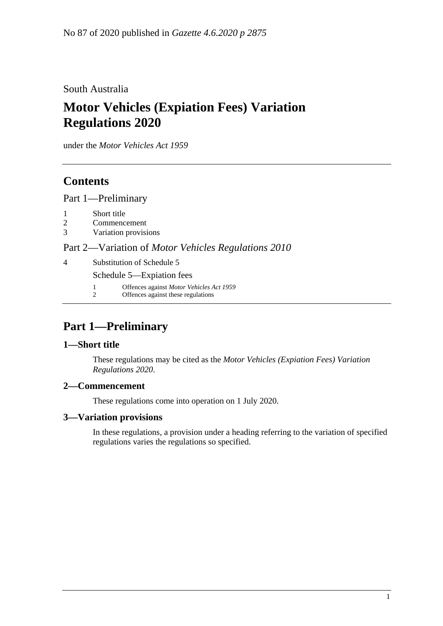South Australia

# **Motor Vehicles (Expiation Fees) Variation Regulations 2020**

under the *Motor Vehicles Act 1959*

### **Contents**

Part [1—Preliminary](#page-0-0)

- 1 [Short title](#page-0-1)
- 2 [Commencement](#page-0-2)
- 3 [Variation provisions](#page-0-3)

Part 2—Variation of *[Motor Vehicles Regulations](#page-1-0) 2010*

4 [Substitution of Schedule 5](#page-1-1)

Schedule 5—Expiation fees

- 1 Offences against *Motor Vehicles Act 1959*
- 2 Offences against these regulations

# <span id="page-0-0"></span>**Part 1—Preliminary**

### <span id="page-0-1"></span>**1—Short title**

These regulations may be cited as the *Motor Vehicles (Expiation Fees) Variation Regulations 2020*.

### <span id="page-0-2"></span>**2—Commencement**

These regulations come into operation on 1 July 2020.

### <span id="page-0-3"></span>**3—Variation provisions**

In these regulations, a provision under a heading referring to the variation of specified regulations varies the regulations so specified.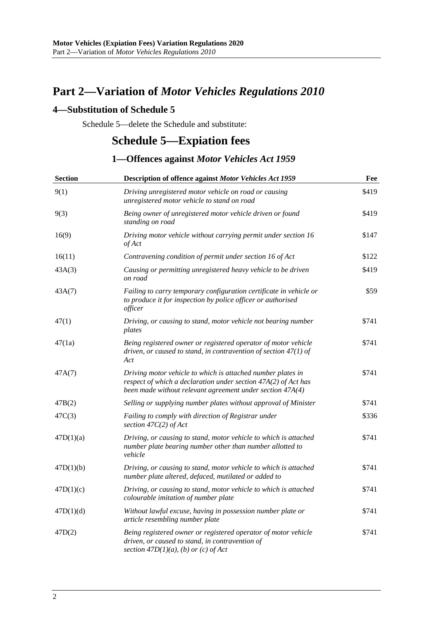# <span id="page-1-0"></span>**Part 2—Variation of** *Motor Vehicles Regulations 2010*

#### <span id="page-1-1"></span>**4—Substitution of Schedule 5**

Schedule 5—delete the Schedule and substitute:

### **Schedule 5—Expiation fees**

### **1—Offences against** *Motor Vehicles Act 1959*

| <b>Section</b> | Description of offence against Motor Vehicles Act 1959                                                                                                                                     | Fee   |
|----------------|--------------------------------------------------------------------------------------------------------------------------------------------------------------------------------------------|-------|
| 9(1)           | Driving unregistered motor vehicle on road or causing<br>unregistered motor vehicle to stand on road                                                                                       | \$419 |
| 9(3)           | Being owner of unregistered motor vehicle driven or found<br>standing on road                                                                                                              | \$419 |
| 16(9)          | Driving motor vehicle without carrying permit under section 16<br>of Act                                                                                                                   | \$147 |
| 16(11)         | Contravening condition of permit under section 16 of Act                                                                                                                                   | \$122 |
| 43A(3)         | Causing or permitting unregistered heavy vehicle to be driven<br>on road                                                                                                                   | \$419 |
| 43A(7)         | Failing to carry temporary configuration certificate in vehicle or<br>to produce it for inspection by police officer or authorised<br>officer                                              | \$59  |
| 47(1)          | Driving, or causing to stand, motor vehicle not bearing number<br>plates                                                                                                                   | \$741 |
| 47(1a)         | Being registered owner or registered operator of motor vehicle<br>driven, or caused to stand, in contravention of section $47(1)$ of<br>Act                                                | \$741 |
| 47A(7)         | Driving motor vehicle to which is attached number plates in<br>respect of which a declaration under section 47A(2) of Act has<br>been made without relevant agreement under section 47A(4) | \$741 |
| 47B(2)         | Selling or supplying number plates without approval of Minister                                                                                                                            | \$741 |
| 47C(3)         | Failing to comply with direction of Registrar under<br>section $47C(2)$ of Act                                                                                                             | \$336 |
| 47D(1)(a)      | Driving, or causing to stand, motor vehicle to which is attached<br>number plate bearing number other than number allotted to<br>vehicle                                                   | \$741 |
| 47D(1)(b)      | Driving, or causing to stand, motor vehicle to which is attached<br>number plate altered, defaced, mutilated or added to                                                                   | \$741 |
| 47D(1)(c)      | Driving, or causing to stand, motor vehicle to which is attached<br>colourable imitation of number plate                                                                                   | \$741 |
| 47D(1)(d)      | Without lawful excuse, having in possession number plate or<br>article resembling number plate                                                                                             | \$741 |
| 47D(2)         | Being registered owner or registered operator of motor vehicle<br>driven, or caused to stand, in contravention of<br>section $47D(1)(a)$ , (b) or (c) of Act                               | \$741 |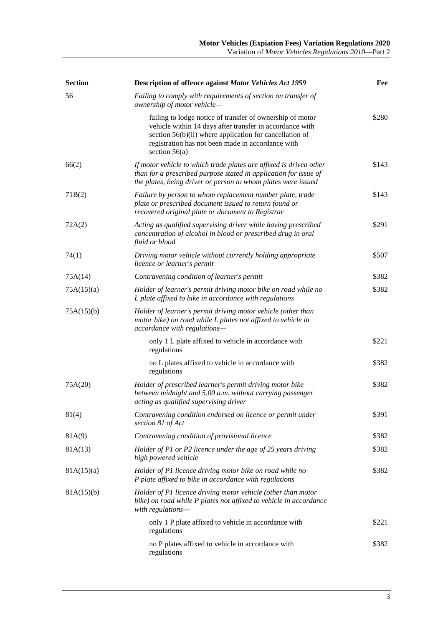| <b>Section</b> | Description of offence against Motor Vehicles Act 1959                                                                                                                                                                                                   | Fee   |
|----------------|----------------------------------------------------------------------------------------------------------------------------------------------------------------------------------------------------------------------------------------------------------|-------|
| 56             | Failing to comply with requirements of section on transfer of<br>ownership of motor vehicle-                                                                                                                                                             |       |
|                | failing to lodge notice of transfer of ownership of motor<br>vehicle within 14 days after transfer in accordance with<br>section 56(b)(ii) where application for cancellation of<br>registration has not been made in accordance with<br>section $56(a)$ | \$280 |
| 66(2)          | If motor vehicle to which trade plates are affixed is driven other<br>than for a prescribed purpose stated in application for issue of<br>the plates, being driver or person to whom plates were issued                                                  | \$143 |
| 71B(2)         | Failure by person to whom replacement number plate, trade<br>plate or prescribed document issued to return found or<br>recovered original plate or document to Registrar                                                                                 | \$143 |
| 72A(2)         | Acting as qualified supervising driver while having prescribed<br>concentration of alcohol in blood or prescribed drug in oral<br>fluid or blood                                                                                                         | \$291 |
| 74(1)          | Driving motor vehicle without currently holding appropriate<br>licence or learner's permit                                                                                                                                                               | \$507 |
| 75A(14)        | Contravening condition of learner's permit                                                                                                                                                                                                               | \$382 |
| 75A(15)(a)     | Holder of learner's permit driving motor bike on road while no<br>L plate affixed to bike in accordance with regulations                                                                                                                                 | \$382 |
| 75A(15)(b)     | Holder of learner's permit driving motor vehicle (other than<br>motor bike) on road while L plates not affixed to vehicle in<br>accordance with regulations-                                                                                             |       |
|                | only 1 L plate affixed to vehicle in accordance with<br>regulations                                                                                                                                                                                      | \$221 |
|                | no L plates affixed to vehicle in accordance with<br>regulations                                                                                                                                                                                         | \$382 |
| 75A(20)        | Holder of prescribed learner's permit driving motor bike<br>between midnight and 5.00 a.m. without carrying passenger<br>acting as qualified supervising driver                                                                                          | \$382 |
| 81(4)          | Contravening condition endorsed on licence or permit under<br>section 81 of Act                                                                                                                                                                          | \$391 |
| 81A(9)         | Contravening condition of provisional licence                                                                                                                                                                                                            | \$382 |
| 81A(13)        | Holder of P1 or P2 licence under the age of 25 years driving<br>high powered vehicle                                                                                                                                                                     | \$382 |
| 81A(15)(a)     | Holder of P1 licence driving motor bike on road while no<br>P plate affixed to bike in accordance with regulations                                                                                                                                       | \$382 |
| 81A(15)(b)     | Holder of P1 licence driving motor vehicle (other than motor<br>bike) on road while P plates not affixed to vehicle in accordance<br>with regulations-                                                                                                   |       |
|                | only 1 P plate affixed to vehicle in accordance with<br>regulations                                                                                                                                                                                      | \$221 |
|                | no P plates affixed to vehicle in accordance with<br>regulations                                                                                                                                                                                         | \$382 |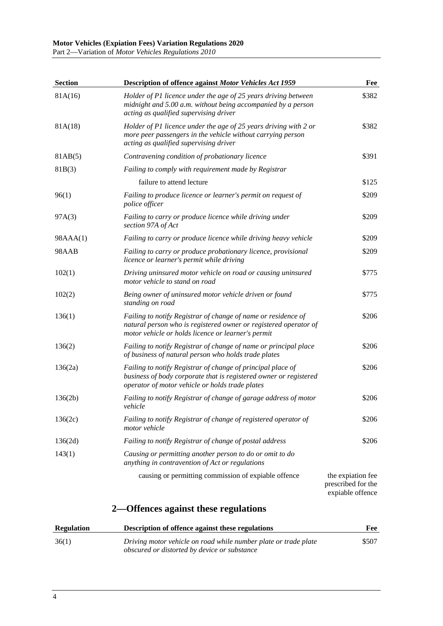Part 2—Variation of *Motor Vehicles Regulations 2010*

| <b>Section</b>    | <b>Description of offence against Motor Vehicles Act 1959</b>                                                                                                                           | Fee                                                         |
|-------------------|-----------------------------------------------------------------------------------------------------------------------------------------------------------------------------------------|-------------------------------------------------------------|
| 81A(16)           | Holder of P1 licence under the age of 25 years driving between<br>midnight and 5.00 a.m. without being accompanied by a person<br>acting as qualified supervising driver                | \$382                                                       |
| 81A(18)           | Holder of P1 licence under the age of 25 years driving with 2 or<br>more peer passengers in the vehicle without carrying person<br>acting as qualified supervising driver               | \$382                                                       |
| 81AB(5)           | Contravening condition of probationary licence                                                                                                                                          | \$391                                                       |
| 81B(3)            | Failing to comply with requirement made by Registrar                                                                                                                                    |                                                             |
|                   | failure to attend lecture                                                                                                                                                               | \$125                                                       |
| 96(1)             | Failing to produce licence or learner's permit on request of<br>police officer                                                                                                          | \$209                                                       |
| 97A(3)            | Failing to carry or produce licence while driving under<br>section 97A of Act                                                                                                           | \$209                                                       |
| 98AAA(1)          | Failing to carry or produce licence while driving heavy vehicle                                                                                                                         | \$209                                                       |
| 98AAB             | Failing to carry or produce probationary licence, provisional<br>licence or learner's permit while driving                                                                              | \$209                                                       |
| 102(1)            | Driving uninsured motor vehicle on road or causing uninsured<br>motor vehicle to stand on road                                                                                          | \$775                                                       |
| 102(2)            | Being owner of uninsured motor vehicle driven or found<br>standing on road                                                                                                              | \$775                                                       |
| 136(1)            | Failing to notify Registrar of change of name or residence of<br>natural person who is registered owner or registered operator of<br>motor vehicle or holds licence or learner's permit | \$206                                                       |
| 136(2)            | Failing to notify Registrar of change of name or principal place<br>of business of natural person who holds trade plates                                                                | \$206                                                       |
| 136(2a)           | Failing to notify Registrar of change of principal place of<br>business of body corporate that is registered owner or registered<br>operator of motor vehicle or holds trade plates     | \$206                                                       |
| 136(2b)           | Failing to notify Registrar of change of garage address of motor<br>vehicle                                                                                                             | \$206                                                       |
| 136(2c)           | Failing to notify Registrar of change of registered operator of<br>motor vehicle                                                                                                        | \$206                                                       |
| 136(2d)           | Failing to notify Registrar of change of postal address                                                                                                                                 | \$206                                                       |
| 143(1)            | Causing or permitting another person to do or omit to do<br>anything in contravention of Act or regulations                                                                             |                                                             |
|                   | causing or permitting commission of expiable offence                                                                                                                                    | the expiation fee<br>prescribed for the<br>expiable offence |
|                   | 2—Offences against these regulations                                                                                                                                                    |                                                             |
| <b>Regulation</b> | Description of offence against these regulations                                                                                                                                        | Fee                                                         |
|                   |                                                                                                                                                                                         |                                                             |

| 36(1) | Driving motor vehicle on road while number plate or trade plate | \$507 |
|-------|-----------------------------------------------------------------|-------|
|       | obscured or distorted by device or substance                    |       |